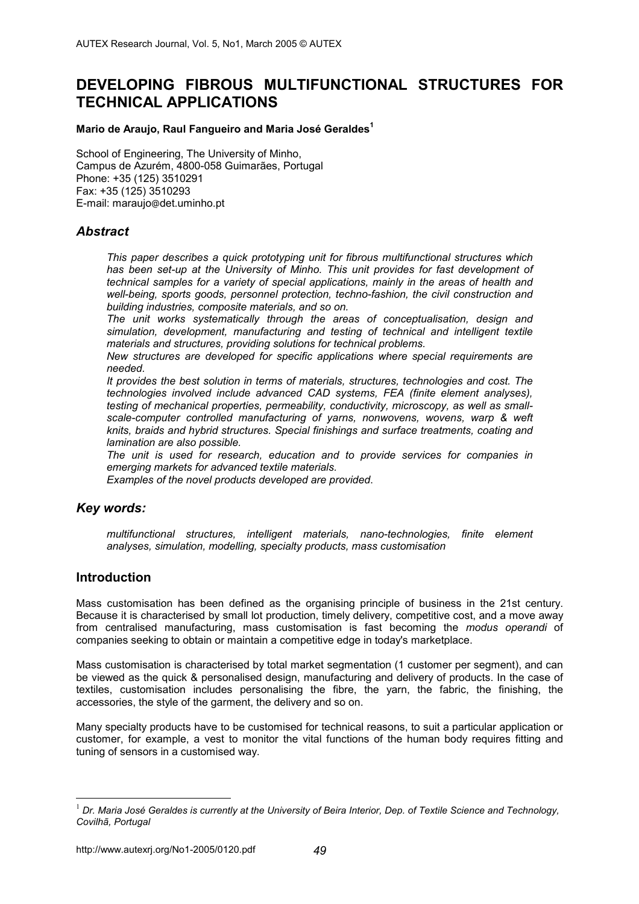# **DEVELOPING FIBROUS MULTIFUNCTIONAL STRUCTURES FOR TECHNICAL APPLICATIONS**

#### **Mario de Araujo, Raul Fangueiro and Maria José Geraldes1**

School of Engineering, The University of Minho, Campus de Azurém, 4800-058 Guimarães, Portugal Phone: +35 (125) 3510291 Fax: +35 (125) 3510293 E-mail: maraujo@det.uminho.pt

### *Abstract*

*This paper describes a quick prototyping unit for fibrous multifunctional structures which*  has been set-up at the University of Minho. This unit provides for fast development of *technical samples for a variety of special applications, mainly in the areas of health and well-being, sports goods, personnel protection, techno-fashion, the civil construction and building industries, composite materials, and so on.* 

*The unit works systematically through the areas of conceptualisation, design and simulation, development, manufacturing and testing of technical and intelligent textile materials and structures, providing solutions for technical problems.* 

*New structures are developed for specific applications where special requirements are needed.* 

*It provides the best solution in terms of materials, structures, technologies and cost. The technologies involved include advanced CAD systems, FEA (finite element analyses), testing of mechanical properties, permeability, conductivity, microscopy, as well as smallscale-computer controlled manufacturing of yarns, nonwovens, wovens, warp & weft knits, braids and hybrid structures. Special finishings and surface treatments, coating and lamination are also possible.* 

*The unit is used for research, education and to provide services for companies in emerging markets for advanced textile materials.* 

*Examples of the novel products developed are provided*.

# *Key words:*

*multifunctional structures, intelligent materials, nano-technologies, finite element analyses, simulation, modelling, specialty products, mass customisation* 

# **Introduction**

 $\overline{a}$ 

Mass customisation has been defined as the organising principle of business in the 21st century. Because it is characterised by small lot production, timely delivery, competitive cost, and a move away from centralised manufacturing, mass customisation is fast becoming the *modus operandi* of companies seeking to obtain or maintain a competitive edge in today's marketplace.

Mass customisation is characterised by total market segmentation (1 customer per segment), and can be viewed as the quick & personalised design, manufacturing and delivery of products. In the case of textiles, customisation includes personalising the fibre, the yarn, the fabric, the finishing, the accessories, the style of the garment, the delivery and so on.

Many specialty products have to be customised for technical reasons, to suit a particular application or customer, for example, a vest to monitor the vital functions of the human body requires fitting and tuning of sensors in a customised way.

<sup>&</sup>lt;sup>1</sup> Dr. Maria José Geraldes is currently at the University of Beira Interior, Dep. of Textile Science and Technology, *Covilhã, Portugal*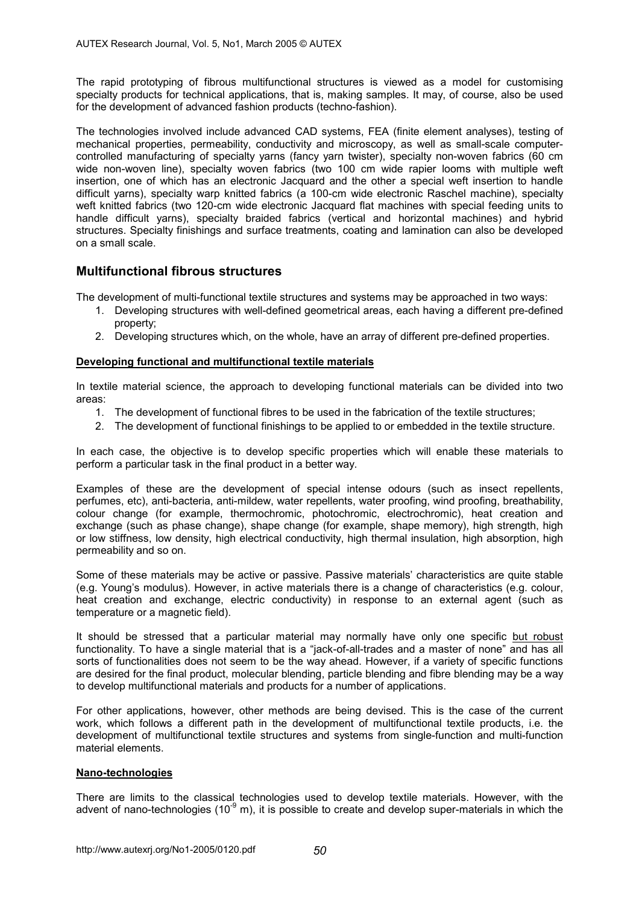The rapid prototyping of fibrous multifunctional structures is viewed as a model for customising specialty products for technical applications, that is, making samples. It may, of course, also be used for the development of advanced fashion products (techno-fashion).

The technologies involved include advanced CAD systems, FEA (finite element analyses), testing of mechanical properties, permeability, conductivity and microscopy, as well as small-scale computercontrolled manufacturing of specialty yarns (fancy yarn twister), specialty non-woven fabrics (60 cm wide non-woven line), specialty woven fabrics (two 100 cm wide rapier looms with multiple weft insertion, one of which has an electronic Jacquard and the other a special weft insertion to handle difficult yarns), specialty warp knitted fabrics (a 100-cm wide electronic Raschel machine), specialty weft knitted fabrics (two 120-cm wide electronic Jacquard flat machines with special feeding units to handle difficult yarns), specialty braided fabrics (vertical and horizontal machines) and hybrid structures. Specialty finishings and surface treatments, coating and lamination can also be developed on a small scale.

# **Multifunctional fibrous structures**

The development of multi-functional textile structures and systems may be approached in two ways:

- 1. Developing structures with well-defined geometrical areas, each having a different pre-defined property;
- 2. Developing structures which, on the whole, have an array of different pre-defined properties.

### **Developing functional and multifunctional textile materials**

In textile material science, the approach to developing functional materials can be divided into two areas:

- 1. The development of functional fibres to be used in the fabrication of the textile structures;
- 2. The development of functional finishings to be applied to or embedded in the textile structure.

In each case, the objective is to develop specific properties which will enable these materials to perform a particular task in the final product in a better way.

Examples of these are the development of special intense odours (such as insect repellents, perfumes, etc), anti-bacteria, anti-mildew, water repellents, water proofing, wind proofing, breathability, colour change (for example, thermochromic, photochromic, electrochromic), heat creation and exchange (such as phase change), shape change (for example, shape memory), high strength, high or low stiffness, low density, high electrical conductivity, high thermal insulation, high absorption, high permeability and so on.

Some of these materials may be active or passive. Passive materials' characteristics are quite stable (e.g. Young's modulus). However, in active materials there is a change of characteristics (e.g. colour, heat creation and exchange, electric conductivity) in response to an external agent (such as temperature or a magnetic field).

It should be stressed that a particular material may normally have only one specific but robust functionality. To have a single material that is a "jack-of-all-trades and a master of none" and has all sorts of functionalities does not seem to be the way ahead. However, if a variety of specific functions are desired for the final product, molecular blending, particle blending and fibre blending may be a way to develop multifunctional materials and products for a number of applications.

For other applications, however, other methods are being devised. This is the case of the current work, which follows a different path in the development of multifunctional textile products, i.e. the development of multifunctional textile structures and systems from single-function and multi-function material elements.

#### **Nano-technologies**

There are limits to the classical technologies used to develop textile materials. However, with the advent of nano-technologies (10 $^9$  m), it is possible to create and develop super-materials in which the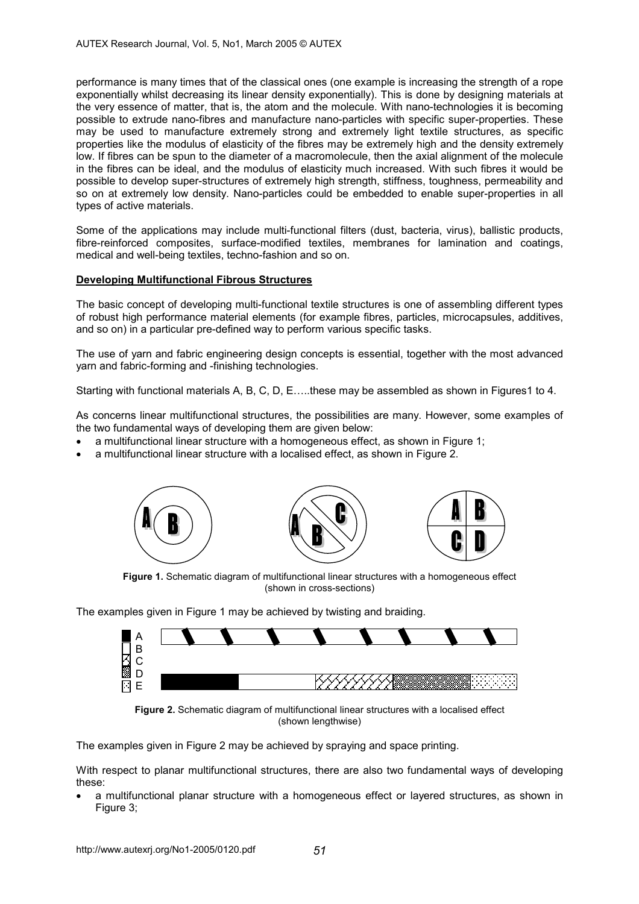performance is many times that of the classical ones (one example is increasing the strength of a rope exponentially whilst decreasing its linear density exponentially). This is done by designing materials at the very essence of matter, that is, the atom and the molecule. With nano-technologies it is becoming possible to extrude nano-fibres and manufacture nano-particles with specific super-properties. These may be used to manufacture extremely strong and extremely light textile structures, as specific properties like the modulus of elasticity of the fibres may be extremely high and the density extremely low. If fibres can be spun to the diameter of a macromolecule, then the axial alignment of the molecule in the fibres can be ideal, and the modulus of elasticity much increased. With such fibres it would be possible to develop super-structures of extremely high strength, stiffness, toughness, permeability and so on at extremely low density. Nano-particles could be embedded to enable super-properties in all types of active materials.

Some of the applications may include multi-functional filters (dust, bacteria, virus), ballistic products, fibre-reinforced composites, surface-modified textiles, membranes for lamination and coatings, medical and well-being textiles, techno-fashion and so on.

### **Developing Multifunctional Fibrous Structures**

The basic concept of developing multi-functional textile structures is one of assembling different types of robust high performance material elements (for example fibres, particles, microcapsules, additives, and so on) in a particular pre-defined way to perform various specific tasks.

The use of yarn and fabric engineering design concepts is essential, together with the most advanced yarn and fabric-forming and -finishing technologies.

Starting with functional materials A, B, C, D, E…..these may be assembled as shown in Figures1 to 4.

As concerns linear multifunctional structures, the possibilities are many. However, some examples of the two fundamental ways of developing them are given below:

- a multifunctional linear structure with a homogeneous effect, as shown in Figure 1;
- a multifunctional linear structure with a localised effect, as shown in Figure 2.



**Figure 1.** Schematic diagram of multifunctional linear structures with a homogeneous effect (shown in cross-sections)

The examples given in Figure 1 may be achieved by twisting and braiding.



**Figure 2.** Schematic diagram of multifunctional linear structures with a localised effect (shown lengthwise)

The examples given in Figure 2 may be achieved by spraying and space printing.

With respect to planar multifunctional structures, there are also two fundamental ways of developing these:

• a multifunctional planar structure with a homogeneous effect or layered structures, as shown in Figure 3: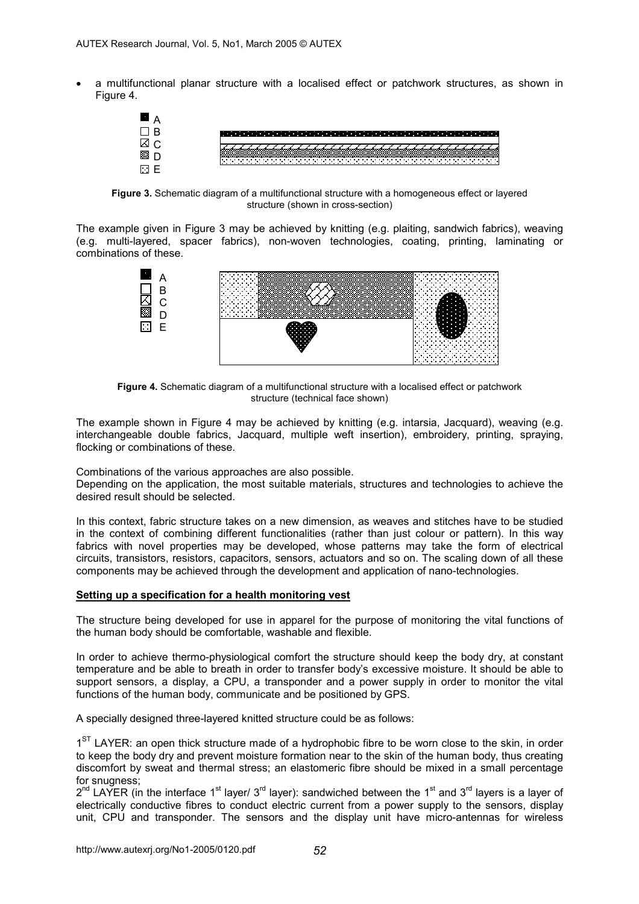• a multifunctional planar structure with a localised effect or patchwork structures, as shown in Figure 4.



**Figure 3.** Schematic diagram of a multifunctional structure with a homogeneous effect or layered structure (shown in cross-section)

The example given in Figure 3 may be achieved by knitting (e.g. plaiting, sandwich fabrics), weaving (e.g. multi-layered, spacer fabrics), non-woven technologies, coating, printing, laminating or combinations of these.



**Figure 4.** Schematic diagram of a multifunctional structure with a localised effect or patchwork structure (technical face shown)

The example shown in Figure 4 may be achieved by knitting (e.g. intarsia, Jacquard), weaving (e.g. interchangeable double fabrics, Jacquard, multiple weft insertion), embroidery, printing, spraying, flocking or combinations of these.

Combinations of the various approaches are also possible.

Depending on the application, the most suitable materials, structures and technologies to achieve the desired result should be selected.

In this context, fabric structure takes on a new dimension, as weaves and stitches have to be studied in the context of combining different functionalities (rather than just colour or pattern). In this way fabrics with novel properties may be developed, whose patterns may take the form of electrical circuits, transistors, resistors, capacitors, sensors, actuators and so on. The scaling down of all these components may be achieved through the development and application of nano-technologies.

#### **Setting up a specification for a health monitoring vest**

The structure being developed for use in apparel for the purpose of monitoring the vital functions of the human body should be comfortable, washable and flexible.

In order to achieve thermo-physiological comfort the structure should keep the body dry, at constant temperature and be able to breath in order to transfer body's excessive moisture. It should be able to support sensors, a display, a CPU, a transponder and a power supply in order to monitor the vital functions of the human body, communicate and be positioned by GPS.

A specially designed three-layered knitted structure could be as follows:

 $1<sup>ST</sup>$  LAYER: an open thick structure made of a hydrophobic fibre to be worn close to the skin, in order to keep the body dry and prevent moisture formation near to the skin of the human body, thus creating discomfort by sweat and thermal stress; an elastomeric fibre should be mixed in a small percentage for snugness:

 $2^{nd}$  LAYER (in the interface 1<sup>st</sup> layer/ 3<sup>rd</sup> layer): sandwiched between the 1<sup>st</sup> and 3<sup>rd</sup> layers is a layer of electrically conductive fibres to conduct electric current from a power supply to the sensors, display unit, CPU and transponder. The sensors and the display unit have micro-antennas for wireless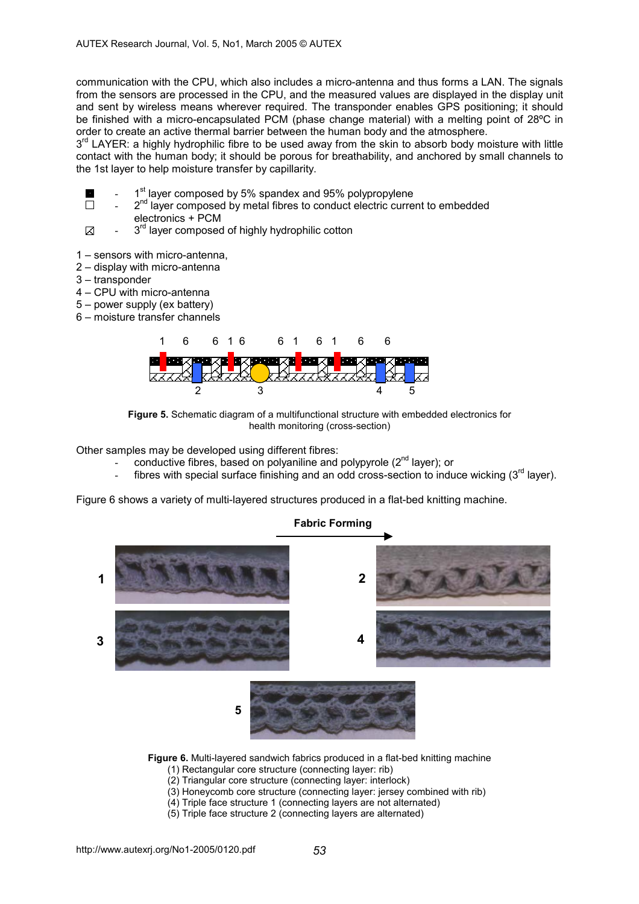communication with the CPU, which also includes a micro-antenna and thus forms a LAN. The signals from the sensors are processed in the CPU, and the measured values are displayed in the display unit and sent by wireless means wherever required. The transponder enables GPS positioning; it should be finished with a micro-encapsulated PCM (phase change material) with a melting point of 28°C in order to create an active thermal barrier between the human body and the atmosphere.

 $3<sup>rd</sup>$  LAYER: a highly hydrophilic fibre to be used away from the skin to absorb body moisture with little contact with the human body; it should be porous for breathability, and anchored by small channels to the 1st layer to help moisture transfer by capillarity.

- 1<sup>st</sup> layer composed by 5% spandex and 95% polypropylene
- $\Box$  $2^{nd}$  layer composed by metal fibres to conduct electric current to embedded electronics + PCM
- K 3<sup>rd</sup> layer composed of highly hydrophilic cotton
- 1 sensors with micro-antenna,
- 2 display with micro-antenna
- 3 transponder
- 4 CPU with micro-antenna
- 5 power supply (ex battery)
- 6 moisture transfer channels



**Figure 5.** Schematic diagram of a multifunctional structure with embedded electronics for health monitoring (cross-section)

Other samples may be developed using different fibres:

- conductive fibres, based on polyaniline and polypyrole (2<sup>nd</sup> layer); or
- fibres with special surface finishing and an odd cross-section to induce wicking  $(3<sup>rd</sup>$  layer).

Figure 6 shows a variety of multi-layered structures produced in a flat-bed knitting machine.



**Figure 6.** Multi-layered sandwich fabrics produced in a flat-bed knitting machine

- (1) Rectangular core structure (connecting layer: rib)
- (2) Triangular core structure (connecting layer: interlock)
- (3) Honeycomb core structure (connecting layer: jersey combined with rib)
- (4) Triple face structure 1 (connecting layers are not alternated)
- (5) Triple face structure 2 (connecting layers are alternated)